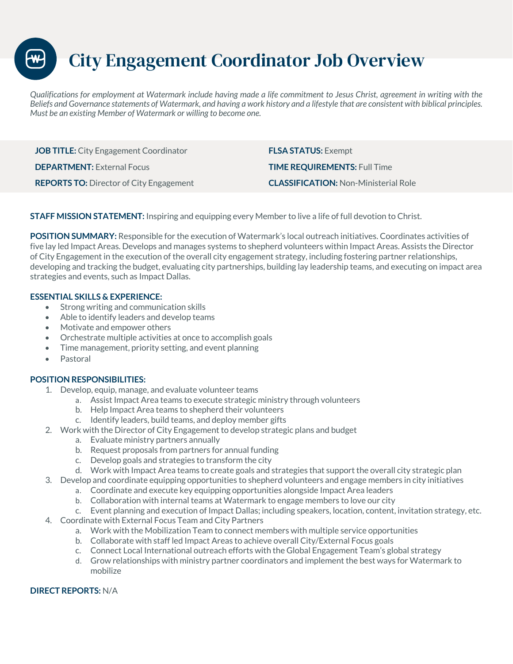City Engagement Coordinator Job Overview

*Qualifications for employment at Watermark include having made a life commitment to Jesus Christ, agreement in writing with the Beliefs and Governance statements of Watermark, and having a work history and a lifestyle that are consistent with biblical principles. Must be an existing Member of Watermark or willing to become one.* 

**JOB TITLE:** City Engagement Coordinator **FLSA STATUS:** Exempt **DEPARTMENT:** External Focus **TIME REQUIREMENTS:** Full Time **REPORTS TO:** Director of City Engagement **CLASSIFICATION:** Non-Ministerial Role

**STAFF MISSION STATEMENT:** Inspiring and equipping every Member to live a life of full devotion to Christ.

**POSITION SUMMARY:** Responsible for the execution of Watermark's local outreach initiatives. Coordinates activities of five lay led Impact Areas. Develops and manages systems to shepherd volunteers within Impact Areas. Assists the Director of City Engagement in the execution of the overall city engagement strategy, including fostering partner relationships, developing and tracking the budget, evaluating city partnerships, building lay leadership teams, and executing on impact area strategies and events, such as Impact Dallas.

## **ESSENTIAL SKILLS & EXPERIENCE:**

- Strong writing and communication skills
- Able to identify leaders and develop teams
- Motivate and empower others
- Orchestrate multiple activities at once to accomplish goals
- Time management, priority setting, and event planning
- **Pastoral**

## **POSITION RESPONSIBILITIES:**

- 1. Develop, equip, manage, and evaluate volunteer teams
	- a. Assist Impact Area teams to execute strategic ministry through volunteers
	- b. Help Impact Area teams to shepherd their volunteers
	- c. Identify leaders, build teams, and deploy member gifts
- 2. Work with the Director of City Engagement to develop strategic plans and budget
	- a. Evaluate ministry partners annually
	- b. Request proposals from partners for annual funding
	- c. Develop goals and strategies to transform the city
	- d. Work with Impact Area teams to create goals and strategies that support the overall city strategic plan
- 3. Develop and coordinate equipping opportunities to shepherd volunteers and engage members in city initiatives
	- a. Coordinate and execute key equipping opportunities alongside Impact Area leaders
	- b. Collaboration with internal teams at Watermark to engage members to love our city
	- c. Event planning and execution of Impact Dallas; including speakers, location, content, invitation strategy, etc.
- 4. Coordinate with External Focus Team and City Partners
	- a. Work with the Mobilization Team to connect members with multiple service opportunities
	- b. Collaborate with staff led Impact Areas to achieve overall City/External Focus goals
	- c. Connect Local International outreach efforts with the Global Engagement Team's global strategy
	- d. Grow relationships with ministry partner coordinators and implement the best ways for Watermark to mobilize

## **DIRECT REPORTS:** N/A